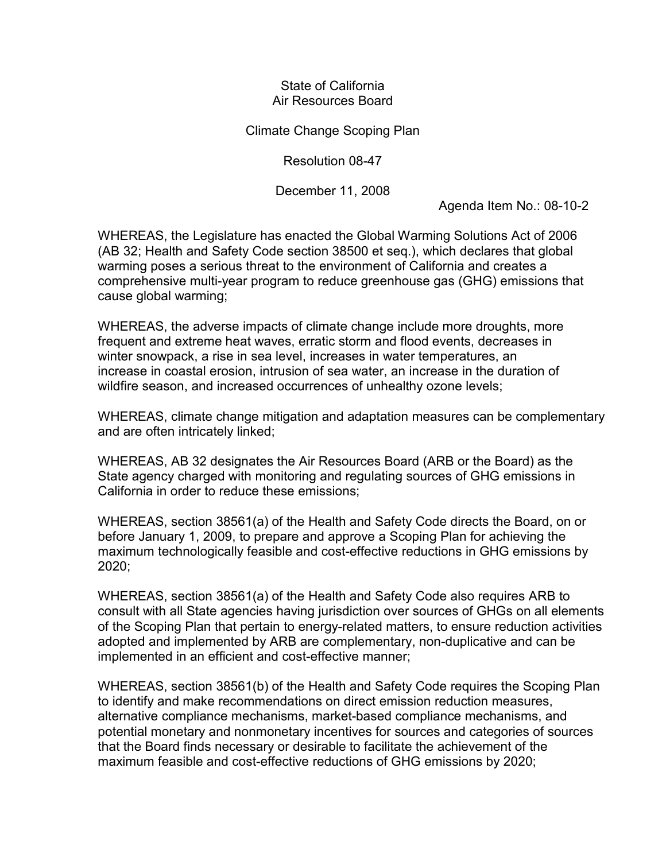## State of California Air Resources Board

Climate Change Scoping Plan

Resolution 08-47

December 11, 2008

Agenda Item No.: 08-10-2

WHEREAS, the Legislature has enacted the Global Warming Solutions Act of 2006 (AB 32; Health and Safety Code section 38500 et seq.), which declares that global warming poses a serious threat to the environment of California and creates a comprehensive multi-year program to reduce greenhouse gas (GHG) emissions that cause global warming;

WHEREAS, the adverse impacts of climate change include more droughts, more frequent and extreme heat waves, erratic storm and flood events, decreases in winter snowpack, a rise in sea level, increases in water temperatures, an increase in coastal erosion, intrusion of sea water, an increase in the duration of wildfire season, and increased occurrences of unhealthy ozone levels;

WHEREAS, climate change mitigation and adaptation measures can be complementary and are often intricately linked;

WHEREAS, AB 32 designates the Air Resources Board (ARB or the Board) as the State agency charged with monitoring and regulating sources of GHG emissions in California in order to reduce these emissions;

WHEREAS, section 38561(a) of the Health and Safety Code directs the Board, on or before January 1, 2009, to prepare and approve a Scoping Plan for achieving the maximum technologically feasible and cost-effective reductions in GHG emissions by 2020;

WHEREAS, section 38561(a) of the Health and Safety Code also requires ARB to consult with all State agencies having jurisdiction over sources of GHGs on all elements of the Scoping Plan that pertain to energy-related matters, to ensure reduction activities adopted and implemented by ARB are complementary, non-duplicative and can be implemented in an efficient and cost-effective manner;

WHEREAS, section 38561(b) of the Health and Safety Code requires the Scoping Plan to identify and make recommendations on direct emission reduction measures, alternative compliance mechanisms, market-based compliance mechanisms, and potential monetary and nonmonetary incentives for sources and categories of sources that the Board finds necessary or desirable to facilitate the achievement of the maximum feasible and cost-effective reductions of GHG emissions by 2020;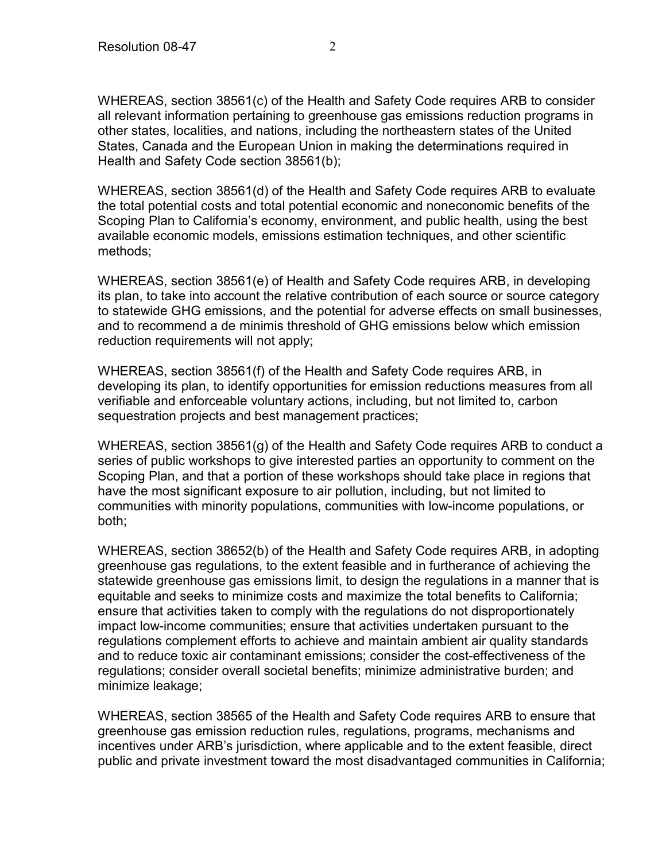WHEREAS, section 38561(c) of the Health and Safety Code requires ARB to consider all relevant information pertaining to greenhouse gas emissions reduction programs in other states, localities, and nations, including the northeastern states of the United States, Canada and the European Union in making the determinations required in Health and Safety Code section 38561(b);

WHEREAS, section 38561(d) of the Health and Safety Code requires ARB to evaluate the total potential costs and total potential economic and noneconomic benefits of the Scoping Plan to California's economy, environment, and public health, using the best available economic models, emissions estimation techniques, and other scientific methods;

WHEREAS, section 38561(e) of Health and Safety Code requires ARB, in developing its plan, to take into account the relative contribution of each source or source category to statewide GHG emissions, and the potential for adverse effects on small businesses, and to recommend a de minimis threshold of GHG emissions below which emission reduction requirements will not apply;

WHEREAS, section 38561(f) of the Health and Safety Code requires ARB, in developing its plan, to identify opportunities for emission reductions measures from all verifiable and enforceable voluntary actions, including, but not limited to, carbon sequestration projects and best management practices;

WHEREAS, section 38561(g) of the Health and Safety Code requires ARB to conduct a series of public workshops to give interested parties an opportunity to comment on the Scoping Plan, and that a portion of these workshops should take place in regions that have the most significant exposure to air pollution, including, but not limited to communities with minority populations, communities with low-income populations, or both;

WHEREAS, section 38652(b) of the Health and Safety Code requires ARB, in adopting greenhouse gas regulations, to the extent feasible and in furtherance of achieving the statewide greenhouse gas emissions limit, to design the regulations in a manner that is equitable and seeks to minimize costs and maximize the total benefits to California; ensure that activities taken to comply with the regulations do not disproportionately impact low-income communities; ensure that activities undertaken pursuant to the regulations complement efforts to achieve and maintain ambient air quality standards and to reduce toxic air contaminant emissions; consider the cost-effectiveness of the regulations; consider overall societal benefits; minimize administrative burden; and minimize leakage;

WHEREAS, section 38565 of the Health and Safety Code requires ARB to ensure that greenhouse gas emission reduction rules, regulations, programs, mechanisms and incentives under ARB's jurisdiction, where applicable and to the extent feasible, direct public and private investment toward the most disadvantaged communities in California;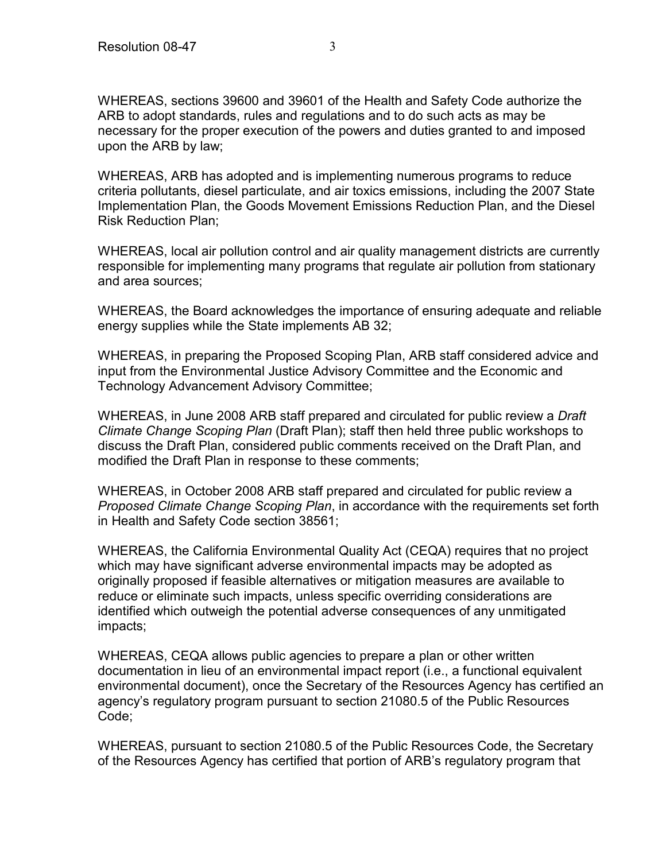WHEREAS, sections 39600 and 39601 of the Health and Safety Code authorize the ARB to adopt standards, rules and regulations and to do such acts as may be necessary for the proper execution of the powers and duties granted to and imposed upon the ARB by law;

WHEREAS, ARB has adopted and is implementing numerous programs to reduce criteria pollutants, diesel particulate, and air toxics emissions, including the 2007 State Implementation Plan, the Goods Movement Emissions Reduction Plan, and the Diesel Risk Reduction Plan;

WHEREAS, local air pollution control and air quality management districts are currently responsible for implementing many programs that regulate air pollution from stationary and area sources;

WHEREAS, the Board acknowledges the importance of ensuring adequate and reliable energy supplies while the State implements AB 32;

WHEREAS, in preparing the Proposed Scoping Plan, ARB staff considered advice and input from the Environmental Justice Advisory Committee and the Economic and Technology Advancement Advisory Committee;

WHEREAS, in June 2008 ARB staff prepared and circulated for public review a *Draft Climate Change Scoping Plan* (Draft Plan); staff then held three public workshops to discuss the Draft Plan, considered public comments received on the Draft Plan, and modified the Draft Plan in response to these comments;

WHEREAS, in October 2008 ARB staff prepared and circulated for public review a *Proposed Climate Change Scoping Plan*, in accordance with the requirements set forth in Health and Safety Code section 38561;

WHEREAS, the California Environmental Quality Act (CEQA) requires that no project which may have significant adverse environmental impacts may be adopted as originally proposed if feasible alternatives or mitigation measures are available to reduce or eliminate such impacts, unless specific overriding considerations are identified which outweigh the potential adverse consequences of any unmitigated impacts;

WHEREAS, CEQA allows public agencies to prepare a plan or other written documentation in lieu of an environmental impact report (i.e., a functional equivalent environmental document), once the Secretary of the Resources Agency has certified an agency's regulatory program pursuant to section 21080.5 of the Public Resources Code;

WHEREAS, pursuant to section 21080.5 of the Public Resources Code, the Secretary of the Resources Agency has certified that portion of ARB's regulatory program that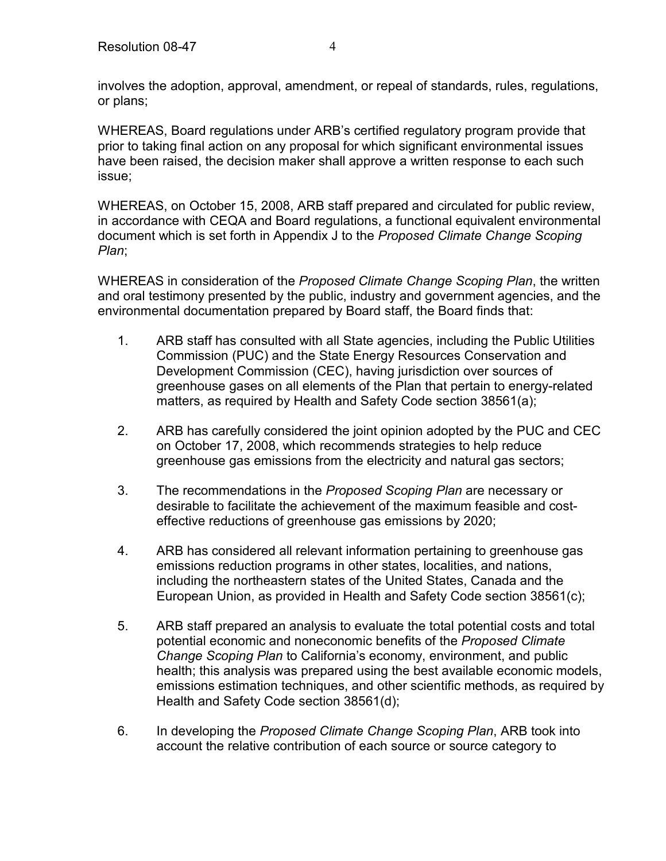involves the adoption, approval, amendment, or repeal of standards, rules, regulations, or plans;

WHEREAS, Board regulations under ARB's certified regulatory program provide that prior to taking final action on any proposal for which significant environmental issues have been raised, the decision maker shall approve a written response to each such issue;

WHEREAS, on October 15, 2008, ARB staff prepared and circulated for public review, in accordance with CEQA and Board regulations, a functional equivalent environmental document which is set forth in Appendix J to the *Proposed Climate Change Scoping Plan*;

WHEREAS in consideration of the *Proposed Climate Change Scoping Plan*, the written and oral testimony presented by the public, industry and government agencies, and the environmental documentation prepared by Board staff, the Board finds that:

- 1. ARB staff has consulted with all State agencies, including the Public Utilities Commission (PUC) and the State Energy Resources Conservation and Development Commission (CEC), having jurisdiction over sources of greenhouse gases on all elements of the Plan that pertain to energy-related matters, as required by Health and Safety Code section 38561(a);
- 2. ARB has carefully considered the joint opinion adopted by the PUC and CEC on October 17, 2008, which recommends strategies to help reduce greenhouse gas emissions from the electricity and natural gas sectors;
- 3. The recommendations in the *Proposed Scoping Plan* are necessary or desirable to facilitate the achievement of the maximum feasible and costeffective reductions of greenhouse gas emissions by 2020;
- 4. ARB has considered all relevant information pertaining to greenhouse gas emissions reduction programs in other states, localities, and nations, including the northeastern states of the United States, Canada and the European Union, as provided in Health and Safety Code section 38561(c);
- 5. ARB staff prepared an analysis to evaluate the total potential costs and total potential economic and noneconomic benefits of the *Proposed Climate Change Scoping Plan* to California's economy, environment, and public health; this analysis was prepared using the best available economic models, emissions estimation techniques, and other scientific methods, as required by Health and Safety Code section 38561(d);
- 6. In developing the *Proposed Climate Change Scoping Plan*, ARB took into account the relative contribution of each source or source category to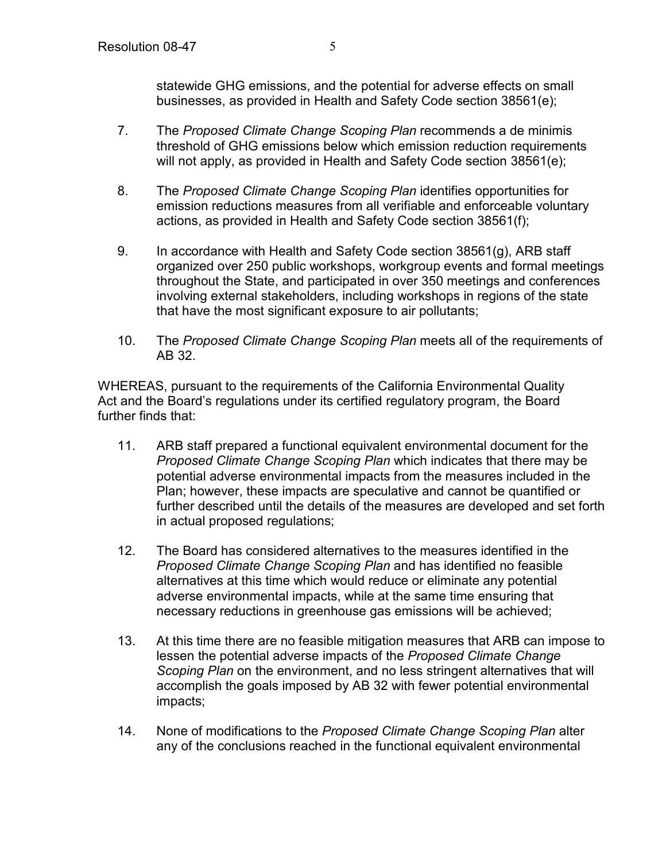statewide GHG emissions, and the potential for adverse effects on small businesses, as provided in Health and Safety Code section 38561(e);

- 7. The *Proposed Climate Change Scoping Plan* recommends a de minimis threshold of GHG emissions below which emission reduction requirements will not apply, as provided in Health and Safety Code section 38561(e);
- 8. The *Proposed Climate Change Scoping Plan* identifies opportunities for emission reductions measures from all verifiable and enforceable voluntary actions, as provided in Health and Safety Code section 38561(f);
- 9. In accordance with Health and Safety Code section 38561(g), ARB staff organized over 250 public workshops, workgroup events and formal meetings throughout the State, and participated in over 350 meetings and conferences involving external stakeholders, including workshops in regions of the state that have the most significant exposure to air pollutants;
- 10. The *Proposed Climate Change Scoping Plan* meets all of the requirements of AB 32.

WHEREAS, pursuant to the requirements of the California Environmental Quality Act and the Board's regulations under its certified regulatory program, the Board further finds that:

- 11. ARB staff prepared a functional equivalent environmental document for the *Proposed Climate Change Scoping Plan* which indicates that there may be potential adverse environmental impacts from the measures included in the Plan; however, these impacts are speculative and cannot be quantified or further described until the details of the measures are developed and set forth in actual proposed regulations;
- 12. The Board has considered alternatives to the measures identified in the *Proposed Climate Change Scoping Plan* and has identified no feasible alternatives at this time which would reduce or eliminate any potential adverse environmental impacts, while at the same time ensuring that necessary reductions in greenhouse gas emissions will be achieved;
- 13. At this time there are no feasible mitigation measures that ARB can impose to lessen the potential adverse impacts of the *Proposed Climate Change Scoping Plan* on the environment, and no less stringent alternatives that will accomplish the goals imposed by AB 32 with fewer potential environmental impacts;
- 14. None of modifications to the *Proposed Climate Change Scoping Plan* alter any of the conclusions reached in the functional equivalent environmental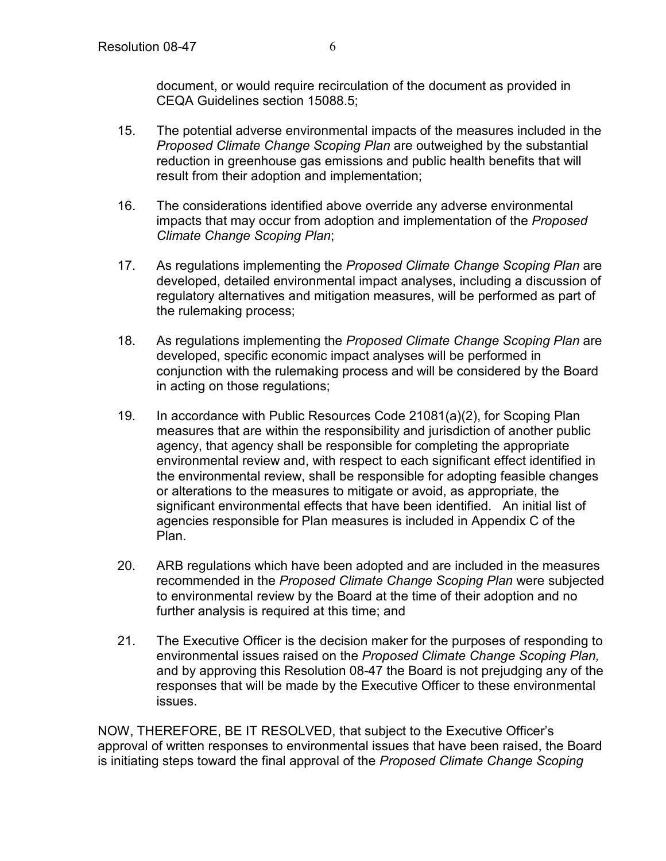document, or would require recirculation of the document as provided in CEQA Guidelines section 15088.5;

- 15. The potential adverse environmental impacts of the measures included in the *Proposed Climate Change Scoping Plan* are outweighed by the substantial reduction in greenhouse gas emissions and public health benefits that will result from their adoption and implementation;
- 16. The considerations identified above override any adverse environmental impacts that may occur from adoption and implementation of the *Proposed Climate Change Scoping Plan*;
- 17. As regulations implementing the *Proposed Climate Change Scoping Plan* are developed, detailed environmental impact analyses, including a discussion of regulatory alternatives and mitigation measures, will be performed as part of the rulemaking process;
- 18. As regulations implementing the *Proposed Climate Change Scoping Plan* are developed, specific economic impact analyses will be performed in conjunction with the rulemaking process and will be considered by the Board in acting on those regulations;
- 19. In accordance with Public Resources Code 21081(a)(2), for Scoping Plan measures that are within the responsibility and jurisdiction of another public agency, that agency shall be responsible for completing the appropriate environmental review and, with respect to each significant effect identified in the environmental review, shall be responsible for adopting feasible changes or alterations to the measures to mitigate or avoid, as appropriate, the significant environmental effects that have been identified. An initial list of agencies responsible for Plan measures is included in Appendix C of the Plan.
- 20. ARB regulations which have been adopted and are included in the measures recommended in the *Proposed Climate Change Scoping Plan* were subjected to environmental review by the Board at the time of their adoption and no further analysis is required at this time; and
- 21. The Executive Officer is the decision maker for the purposes of responding to environmental issues raised on the *Proposed Climate Change Scoping Plan,*  and by approving this Resolution 08-47 the Board is not prejudging any of the responses that will be made by the Executive Officer to these environmental issues.

NOW, THEREFORE, BE IT RESOLVED, that subject to the Executive Officer's approval of written responses to environmental issues that have been raised, the Board is initiating steps toward the final approval of the *Proposed Climate Change Scoping*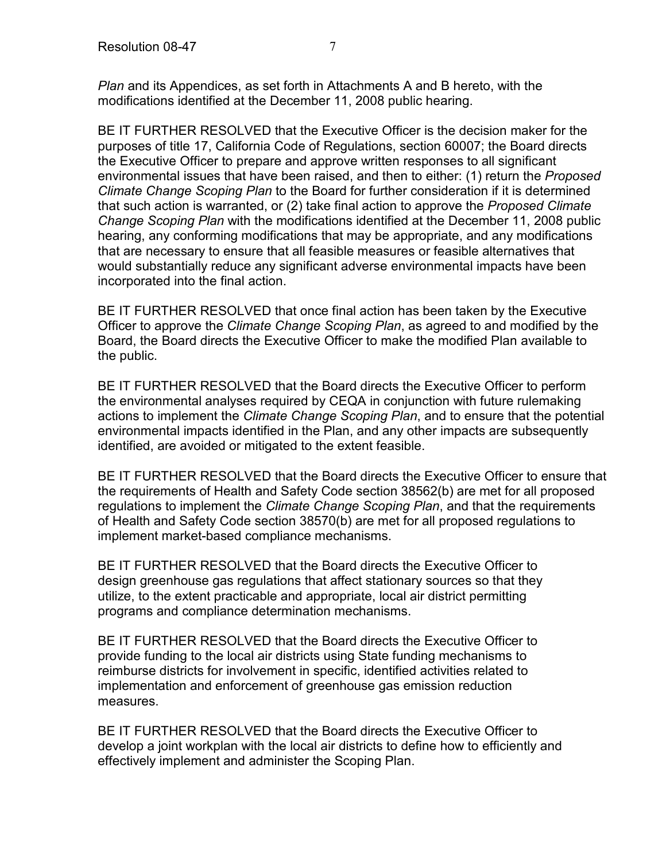*Plan* and its Appendices, as set forth in Attachments A and B hereto, with the modifications identified at the December 11, 2008 public hearing.

BE IT FURTHER RESOLVED that the Executive Officer is the decision maker for the purposes of title 17, California Code of Regulations, section 60007; the Board directs the Executive Officer to prepare and approve written responses to all significant environmental issues that have been raised, and then to either: (1) return the *Proposed Climate Change Scoping Plan* to the Board for further consideration if it is determined that such action is warranted, or (2) take final action to approve the *Proposed Climate Change Scoping Plan* with the modifications identified at the December 11, 2008 public hearing, any conforming modifications that may be appropriate, and any modifications that are necessary to ensure that all feasible measures or feasible alternatives that would substantially reduce any significant adverse environmental impacts have been incorporated into the final action.

BE IT FURTHER RESOLVED that once final action has been taken by the Executive Officer to approve the *Climate Change Scoping Plan*, as agreed to and modified by the Board, the Board directs the Executive Officer to make the modified Plan available to the public.

BE IT FURTHER RESOLVED that the Board directs the Executive Officer to perform the environmental analyses required by CEQA in conjunction with future rulemaking actions to implement the *Climate Change Scoping Plan*, and to ensure that the potential environmental impacts identified in the Plan, and any other impacts are subsequently identified, are avoided or mitigated to the extent feasible.

BE IT FURTHER RESOLVED that the Board directs the Executive Officer to ensure that the requirements of Health and Safety Code section 38562(b) are met for all proposed regulations to implement the *Climate Change Scoping Plan*, and that the requirements of Health and Safety Code section 38570(b) are met for all proposed regulations to implement market-based compliance mechanisms.

BE IT FURTHER RESOLVED that the Board directs the Executive Officer to design greenhouse gas regulations that affect stationary sources so that they utilize, to the extent practicable and appropriate, local air district permitting programs and compliance determination mechanisms.

BE IT FURTHER RESOLVED that the Board directs the Executive Officer to provide funding to the local air districts using State funding mechanisms to reimburse districts for involvement in specific, identified activities related to implementation and enforcement of greenhouse gas emission reduction measures.

BE IT FURTHER RESOLVED that the Board directs the Executive Officer to develop a joint workplan with the local air districts to define how to efficiently and effectively implement and administer the Scoping Plan.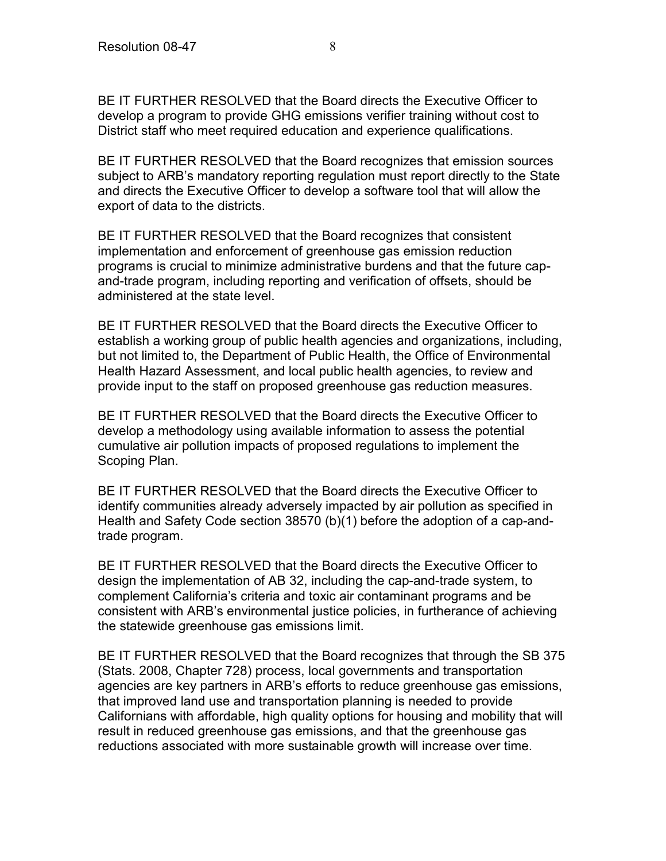BE IT FURTHER RESOLVED that the Board directs the Executive Officer to develop a program to provide GHG emissions verifier training without cost to District staff who meet required education and experience qualifications.

BE IT FURTHER RESOLVED that the Board recognizes that emission sources subject to ARB's mandatory reporting regulation must report directly to the State and directs the Executive Officer to develop a software tool that will allow the export of data to the districts.

BE IT FURTHER RESOLVED that the Board recognizes that consistent implementation and enforcement of greenhouse gas emission reduction programs is crucial to minimize administrative burdens and that the future capand-trade program, including reporting and verification of offsets, should be administered at the state level.

BE IT FURTHER RESOLVED that the Board directs the Executive Officer to establish a working group of public health agencies and organizations, including, but not limited to, the Department of Public Health, the Office of Environmental Health Hazard Assessment, and local public health agencies, to review and provide input to the staff on proposed greenhouse gas reduction measures.

BE IT FURTHER RESOLVED that the Board directs the Executive Officer to develop a methodology using available information to assess the potential cumulative air pollution impacts of proposed regulations to implement the Scoping Plan.

BE IT FURTHER RESOLVED that the Board directs the Executive Officer to identify communities already adversely impacted by air pollution as specified in Health and Safety Code section 38570 (b)(1) before the adoption of a cap-andtrade program.

BE IT FURTHER RESOLVED that the Board directs the Executive Officer to design the implementation of AB 32, including the cap-and-trade system, to complement California's criteria and toxic air contaminant programs and be consistent with ARB's environmental justice policies, in furtherance of achieving the statewide greenhouse gas emissions limit.

BE IT FURTHER RESOLVED that the Board recognizes that through the SB 375 (Stats. 2008, Chapter 728) process, local governments and transportation agencies are key partners in ARB's efforts to reduce greenhouse gas emissions, that improved land use and transportation planning is needed to provide Californians with affordable, high quality options for housing and mobility that will result in reduced greenhouse gas emissions, and that the greenhouse gas reductions associated with more sustainable growth will increase over time.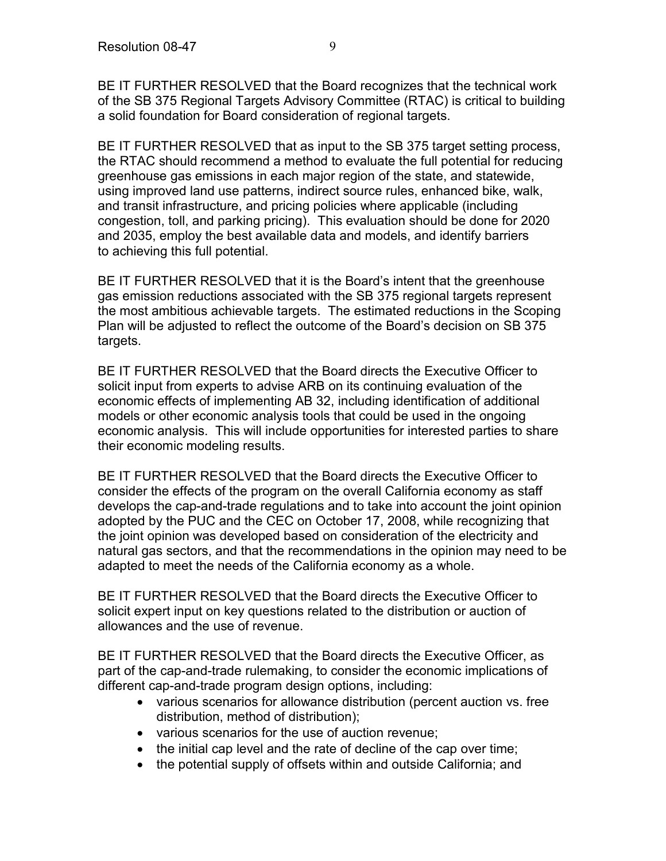BE IT FURTHER RESOLVED that the Board recognizes that the technical work of the SB 375 Regional Targets Advisory Committee (RTAC) is critical to building a solid foundation for Board consideration of regional targets.

BE IT FURTHER RESOLVED that as input to the SB 375 target setting process, the RTAC should recommend a method to evaluate the full potential for reducing greenhouse gas emissions in each major region of the state, and statewide, using improved land use patterns, indirect source rules, enhanced bike, walk, and transit infrastructure, and pricing policies where applicable (including congestion, toll, and parking pricing). This evaluation should be done for 2020 and 2035, employ the best available data and models, and identify barriers to achieving this full potential.

BE IT FURTHER RESOLVED that it is the Board's intent that the greenhouse gas emission reductions associated with the SB 375 regional targets represent the most ambitious achievable targets. The estimated reductions in the Scoping Plan will be adjusted to reflect the outcome of the Board's decision on SB 375 targets.

BE IT FURTHER RESOLVED that the Board directs the Executive Officer to solicit input from experts to advise ARB on its continuing evaluation of the economic effects of implementing AB 32, including identification of additional models or other economic analysis tools that could be used in the ongoing economic analysis. This will include opportunities for interested parties to share their economic modeling results.

BE IT FURTHER RESOLVED that the Board directs the Executive Officer to consider the effects of the program on the overall California economy as staff develops the cap-and-trade regulations and to take into account the joint opinion adopted by the PUC and the CEC on October 17, 2008, while recognizing that the joint opinion was developed based on consideration of the electricity and natural gas sectors, and that the recommendations in the opinion may need to be adapted to meet the needs of the California economy as a whole.

BE IT FURTHER RESOLVED that the Board directs the Executive Officer to solicit expert input on key questions related to the distribution or auction of allowances and the use of revenue.

BE IT FURTHER RESOLVED that the Board directs the Executive Officer, as part of the cap-and-trade rulemaking, to consider the economic implications of different cap-and-trade program design options, including:

- various scenarios for allowance distribution (percent auction vs. free distribution, method of distribution);
- various scenarios for the use of auction revenue;
- the initial cap level and the rate of decline of the cap over time;
- the potential supply of offsets within and outside California; and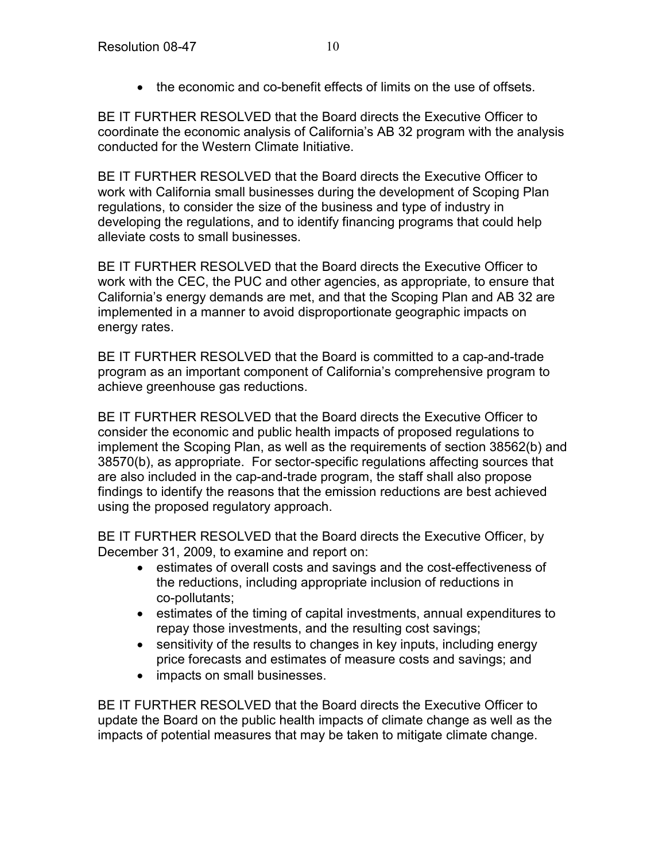• the economic and co-benefit effects of limits on the use of offsets.

BE IT FURTHER RESOLVED that the Board directs the Executive Officer to coordinate the economic analysis of California's AB 32 program with the analysis conducted for the Western Climate Initiative.

BE IT FURTHER RESOLVED that the Board directs the Executive Officer to work with California small businesses during the development of Scoping Plan regulations, to consider the size of the business and type of industry in developing the regulations, and to identify financing programs that could help alleviate costs to small businesses.

BE IT FURTHER RESOLVED that the Board directs the Executive Officer to work with the CEC, the PUC and other agencies, as appropriate, to ensure that California's energy demands are met, and that the Scoping Plan and AB 32 are implemented in a manner to avoid disproportionate geographic impacts on energy rates.

BE IT FURTHER RESOLVED that the Board is committed to a cap-and-trade program as an important component of California's comprehensive program to achieve greenhouse gas reductions.

BE IT FURTHER RESOLVED that the Board directs the Executive Officer to consider the economic and public health impacts of proposed regulations to implement the Scoping Plan, as well as the requirements of section 38562(b) and 38570(b), as appropriate. For sector-specific regulations affecting sources that are also included in the cap-and-trade program, the staff shall also propose findings to identify the reasons that the emission reductions are best achieved using the proposed regulatory approach.

BE IT FURTHER RESOLVED that the Board directs the Executive Officer, by December 31, 2009, to examine and report on:

- estimates of overall costs and savings and the cost-effectiveness of the reductions, including appropriate inclusion of reductions in co-pollutants;
- estimates of the timing of capital investments, annual expenditures to repay those investments, and the resulting cost savings;
- sensitivity of the results to changes in key inputs, including energy price forecasts and estimates of measure costs and savings; and
- impacts on small businesses.

BE IT FURTHER RESOLVED that the Board directs the Executive Officer to update the Board on the public health impacts of climate change as well as the impacts of potential measures that may be taken to mitigate climate change.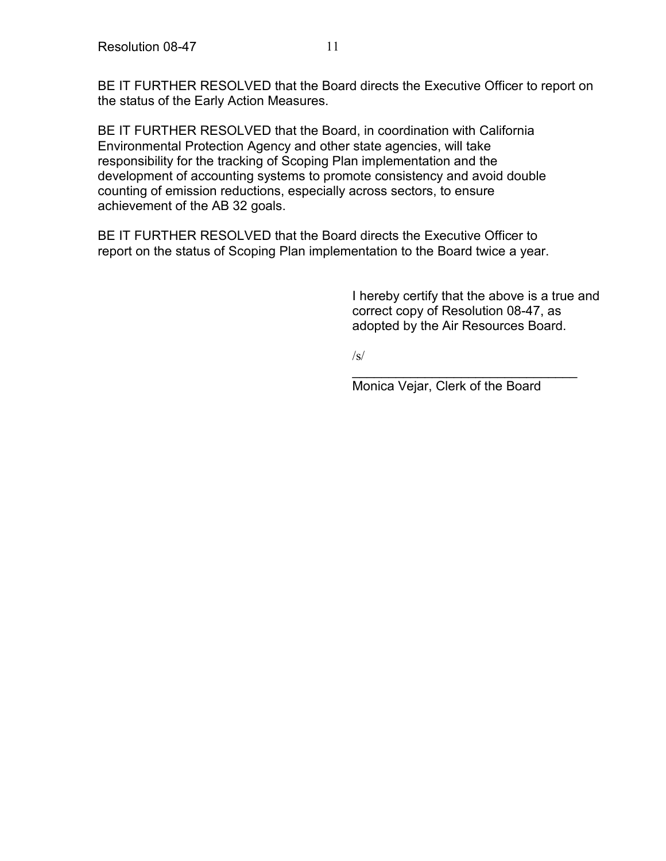BE IT FURTHER RESOLVED that the Board directs the Executive Officer to report on the status of the Early Action Measures.

BE IT FURTHER RESOLVED that the Board, in coordination with California Environmental Protection Agency and other state agencies, will take responsibility for the tracking of Scoping Plan implementation and the development of accounting systems to promote consistency and avoid double counting of emission reductions, especially across sectors, to ensure achievement of the AB 32 goals.

BE IT FURTHER RESOLVED that the Board directs the Executive Officer to report on the status of Scoping Plan implementation to the Board twice a year.

> I hereby certify that the above is a true and correct copy of Resolution 08-47, as adopted by the Air Resources Board.

 $\sqrt{s}$ 

\_\_\_\_\_\_\_\_\_\_\_\_\_\_\_\_\_\_\_\_\_\_\_\_\_\_\_\_\_\_\_ Monica Vejar, Clerk of the Board